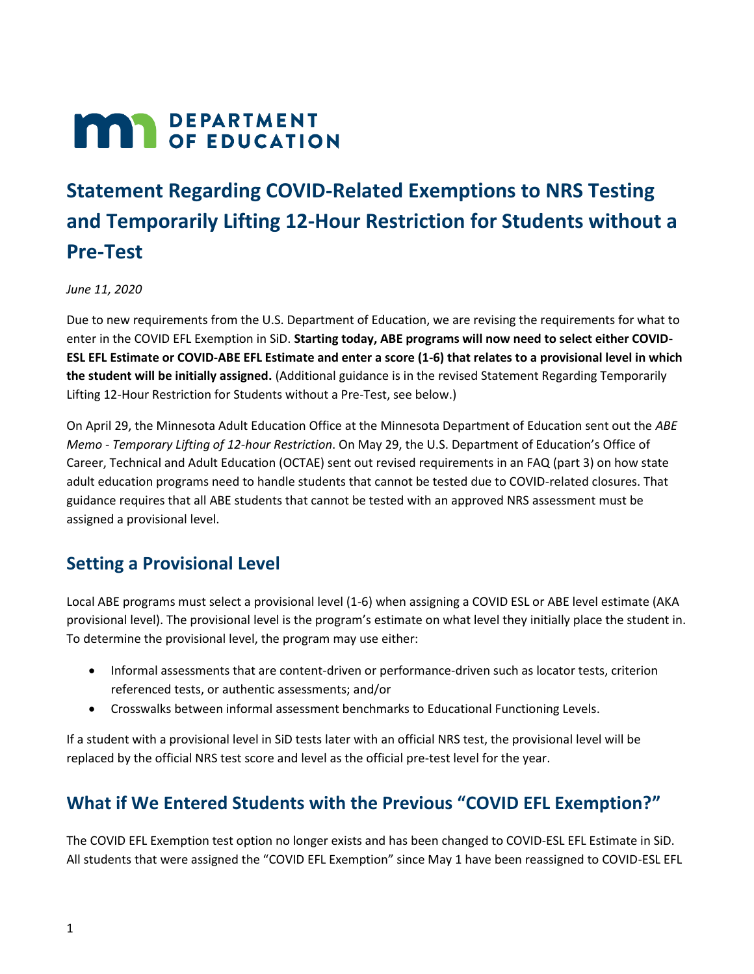# **MAR** DEPARTMENT

# **Statement Regarding COVID-Related Exemptions to NRS Testing and Temporarily Lifting 12-Hour Restriction for Students without a Pre-Test**

*June 11, 2020*

Due to new requirements from the U.S. Department of Education, we are revising the requirements for what to enter in the COVID EFL Exemption in SiD. **Starting today, ABE programs will now need to select either COVID-ESL EFL Estimate or COVID-ABE EFL Estimate and enter a score (1-6) that relates to a provisional level in which the student will be initially assigned.** (Additional guidance is in the revised Statement Regarding Temporarily Lifting 12-Hour Restriction for Students without a Pre-Test, see below.)

On April 29, the Minnesota Adult Education Office at the Minnesota Department of Education sent out the *ABE Memo - Temporary Lifting of 12-hour Restriction*. On May 29, the U.S. Department of Education's Office of Career, Technical and Adult Education (OCTAE) sent out revised requirements in an FAQ (part 3) on how state adult education programs need to handle students that cannot be tested due to COVID-related closures. That guidance requires that all ABE students that cannot be tested with an approved NRS assessment must be assigned a provisional level.

#### **Setting a Provisional Level**

Local ABE programs must select a provisional level (1-6) when assigning a COVID ESL or ABE level estimate (AKA provisional level). The provisional level is the program's estimate on what level they initially place the student in. To determine the provisional level, the program may use either:

- Informal assessments that are content-driven or performance-driven such as locator tests, criterion referenced tests, or authentic assessments; and/or
- Crosswalks between informal assessment benchmarks to Educational Functioning Levels.

If a student with a provisional level in SiD tests later with an official NRS test, the provisional level will be replaced by the official NRS test score and level as the official pre-test level for the year.

## **What if We Entered Students with the Previous "COVID EFL Exemption?"**

The COVID EFL Exemption test option no longer exists and has been changed to COVID-ESL EFL Estimate in SiD. All students that were assigned the "COVID EFL Exemption" since May 1 have been reassigned to COVID-ESL EFL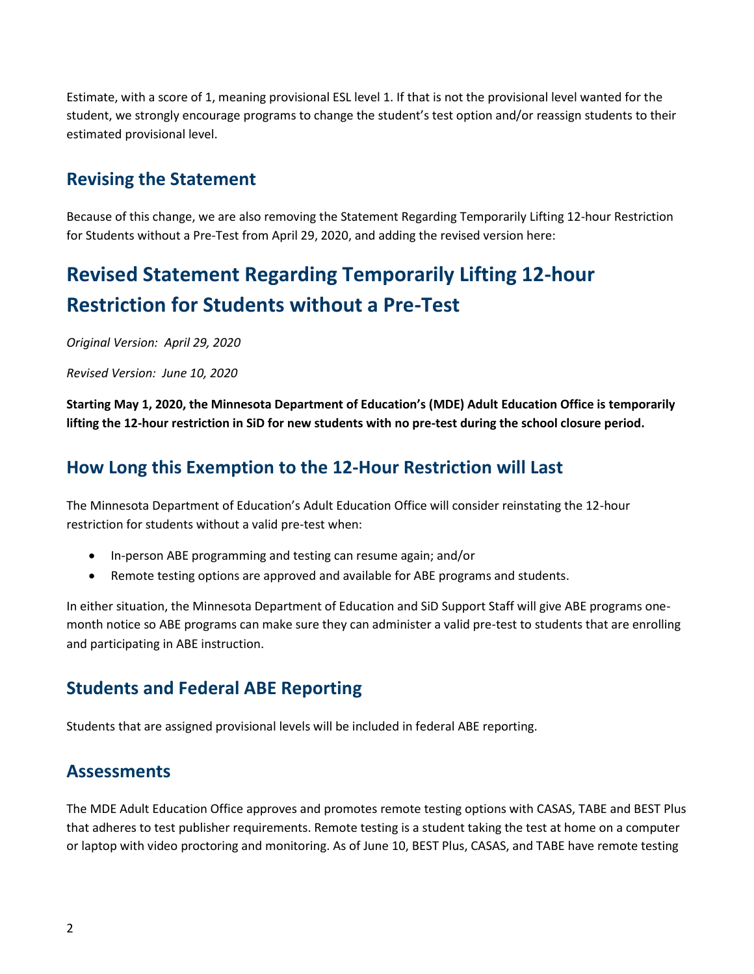Estimate, with a score of 1, meaning provisional ESL level 1. If that is not the provisional level wanted for the student, we strongly encourage programs to change the student's test option and/or reassign students to their estimated provisional level.

#### **Revising the Statement**

Because of this change, we are also removing the Statement Regarding Temporarily Lifting 12-hour Restriction for Students without a Pre-Test from April 29, 2020, and adding the revised version here:

# **Revised Statement Regarding Temporarily Lifting 12-hour Restriction for Students without a Pre-Test**

*Original Version: April 29, 2020*

*Revised Version: June 10, 2020*

**Starting May 1, 2020, the Minnesota Department of Education's (MDE) Adult Education Office is temporarily lifting the 12-hour restriction in SiD for new students with no pre-test during the school closure period.**

#### **How Long this Exemption to the 12-Hour Restriction will Last**

The Minnesota Department of Education's Adult Education Office will consider reinstating the 12-hour restriction for students without a valid pre-test when:

- In-person ABE programming and testing can resume again; and/or
- Remote testing options are approved and available for ABE programs and students.

In either situation, the Minnesota Department of Education and SiD Support Staff will give ABE programs onemonth notice so ABE programs can make sure they can administer a valid pre-test to students that are enrolling and participating in ABE instruction.

#### **Students and Federal ABE Reporting**

Students that are assigned provisional levels will be included in federal ABE reporting.

#### **Assessments**

The MDE Adult Education Office approves and promotes remote testing options with CASAS, TABE and BEST Plus that adheres to test publisher requirements. Remote testing is a student taking the test at home on a computer or laptop with video proctoring and monitoring. As of June 10, BEST Plus, CASAS, and TABE have remote testing